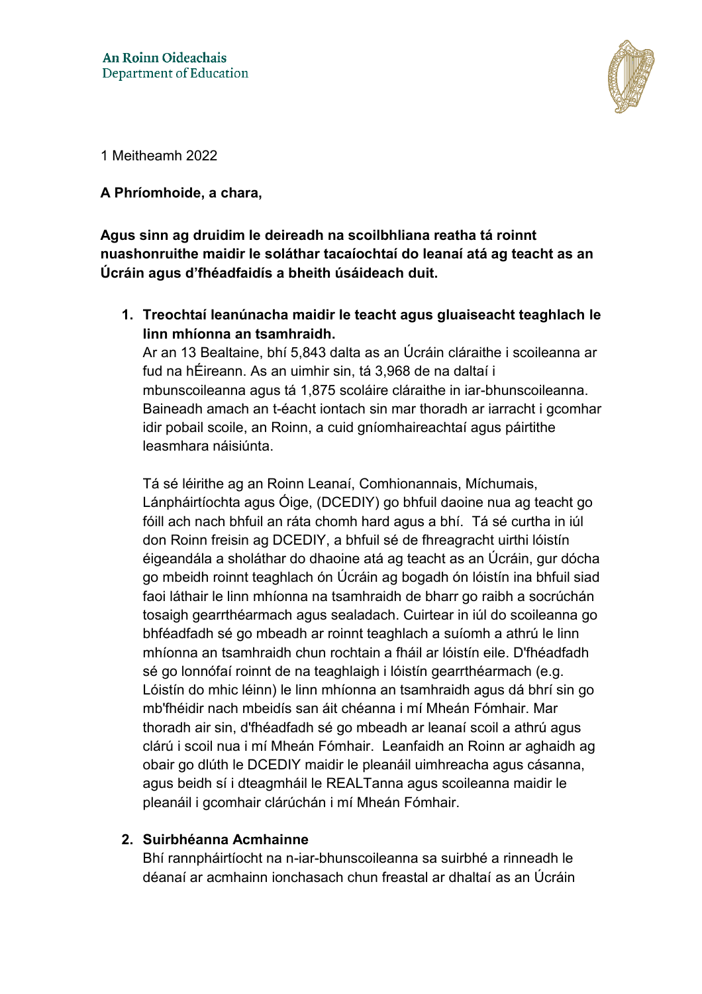

1 Meitheamh 2022

## **A Phríomhoide, a chara,**

**Agus sinn ag druidim le deireadh na scoilbhliana reatha tá roinnt nuashonruithe maidir le soláthar tacaíochtaí do leanaí atá ag teacht as an Úcráin agus d'fhéadfaidís a bheith úsáideach duit.**

**1. Treochtaí leanúnacha maidir le teacht agus gluaiseacht teaghlach le linn mhíonna an tsamhraidh.**

Ar an 13 Bealtaine, bhí 5,843 dalta as an Úcráin cláraithe i scoileanna ar fud na hÉireann. As an uimhir sin, tá 3,968 de na daltaí i mbunscoileanna agus tá 1,875 scoláire cláraithe in iar-bhunscoileanna. Baineadh amach an t-éacht iontach sin mar thoradh ar iarracht i gcomhar idir pobail scoile, an Roinn, a cuid gníomhaireachtaí agus páirtithe leasmhara náisiúnta.

Tá sé léirithe ag an Roinn Leanaí, Comhionannais, Míchumais, Lánpháirtíochta agus Óige, (DCEDIY) go bhfuil daoine nua ag teacht go fóill ach nach bhfuil an ráta chomh hard agus a bhí. Tá sé curtha in iúl don Roinn freisin ag DCEDIY, a bhfuil sé de fhreagracht uirthi lóistín éigeandála a sholáthar do dhaoine atá ag teacht as an Úcráin, gur dócha go mbeidh roinnt teaghlach ón Úcráin ag bogadh ón lóistín ina bhfuil siad faoi láthair le linn mhíonna na tsamhraidh de bharr go raibh a socrúchán tosaigh gearrthéarmach agus sealadach. Cuirtear in iúl do scoileanna go bhféadfadh sé go mbeadh ar roinnt teaghlach a suíomh a athrú le linn mhíonna an tsamhraidh chun rochtain a fháil ar lóistín eile. D'fhéadfadh sé go lonnófaí roinnt de na teaghlaigh i lóistín gearrthéarmach (e.g. Lóistín do mhic léinn) le linn mhíonna an tsamhraidh agus dá bhrí sin go mb'fhéidir nach mbeidís san áit chéanna i mí Mheán Fómhair. Mar thoradh air sin, d'fhéadfadh sé go mbeadh ar leanaí scoil a athrú agus clárú i scoil nua i mí Mheán Fómhair. Leanfaidh an Roinn ar aghaidh ag obair go dlúth le DCEDIY maidir le pleanáil uimhreacha agus cásanna, agus beidh sí i dteagmháil le REALTanna agus scoileanna maidir le pleanáil i gcomhair clárúchán i mí Mheán Fómhair.

## **2. Suirbhéanna Acmhainne**

Bhí rannpháirtíocht na n-iar-bhunscoileanna sa suirbhé a rinneadh le déanaí ar acmhainn ionchasach chun freastal ar dhaltaí as an Úcráin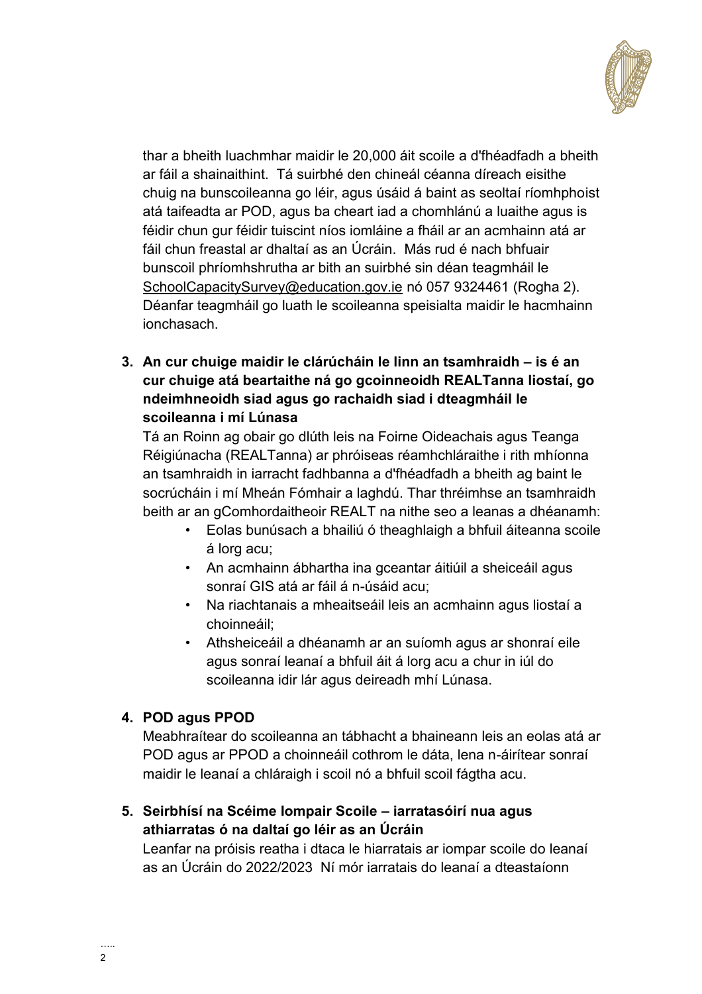

thar a bheith luachmhar maidir le 20,000 áit scoile a d'fhéadfadh a bheith ar fáil a shainaithint. Tá suirbhé den chineál céanna díreach eisithe chuig na bunscoileanna go léir, agus úsáid á baint as seoltaí ríomhphoist atá taifeadta ar POD, agus ba cheart iad a chomhlánú a luaithe agus is féidir chun gur féidir tuiscint níos iomláine a fháil ar an acmhainn atá ar fáil chun freastal ar dhaltaí as an Úcráin. Más rud é nach bhfuair bunscoil phríomhshrutha ar bith an suirbhé sin déan teagmháil le [SchoolCapacitySurvey@education.gov.ie](mailto:SchoolCapacitySurvey@education.gov.ie) nó 057 9324461 (Rogha 2). Déanfar teagmháil go luath le scoileanna speisialta maidir le hacmhainn ionchasach.

**3. An cur chuige maidir le clárúcháin le linn an tsamhraidh – is é an cur chuige atá beartaithe ná go gcoinneoidh REALTanna liostaí, go ndeimhneoidh siad agus go rachaidh siad i dteagmháil le scoileanna i mí Lúnasa**

Tá an Roinn ag obair go dlúth leis na Foirne Oideachais agus Teanga Réigiúnacha (REALTanna) ar phróiseas réamhchláraithe i rith mhíonna an tsamhraidh in iarracht fadhbanna a d'fhéadfadh a bheith ag baint le socrúcháin i mí Mheán Fómhair a laghdú. Thar thréimhse an tsamhraidh beith ar an gComhordaitheoir REALT na nithe seo a leanas a dhéanamh:

- Eolas bunúsach a bhailiú ó theaghlaigh a bhfuil áiteanna scoile á lorg acu;
- An acmhainn ábhartha ina gceantar áitiúil a sheiceáil agus sonraí GIS atá ar fáil á n-úsáid acu;
- Na riachtanais a mheaitseáil leis an acmhainn agus liostaí a choinneáil;
- Athsheiceáil a dhéanamh ar an suíomh agus ar shonraí eile agus sonraí leanaí a bhfuil áit á lorg acu a chur in iúl do scoileanna idir lár agus deireadh mhí Lúnasa.

# **4. POD agus PPOD**

Meabhraítear do scoileanna an tábhacht a bhaineann leis an eolas atá ar POD agus ar PPOD a choinneáil cothrom le dáta, lena n-áirítear sonraí maidir le leanaí a chláraigh i scoil nó a bhfuil scoil fágtha acu.

**5. Seirbhísí na Scéime Iompair Scoile – iarratasóirí nua agus athiarratas ó na daltaí go léir as an Úcráin**

Leanfar na próisis reatha i dtaca le hiarratais ar iompar scoile do leanaí as an Úcráin do 2022/2023 Ní mór iarratais do leanaí a dteastaíonn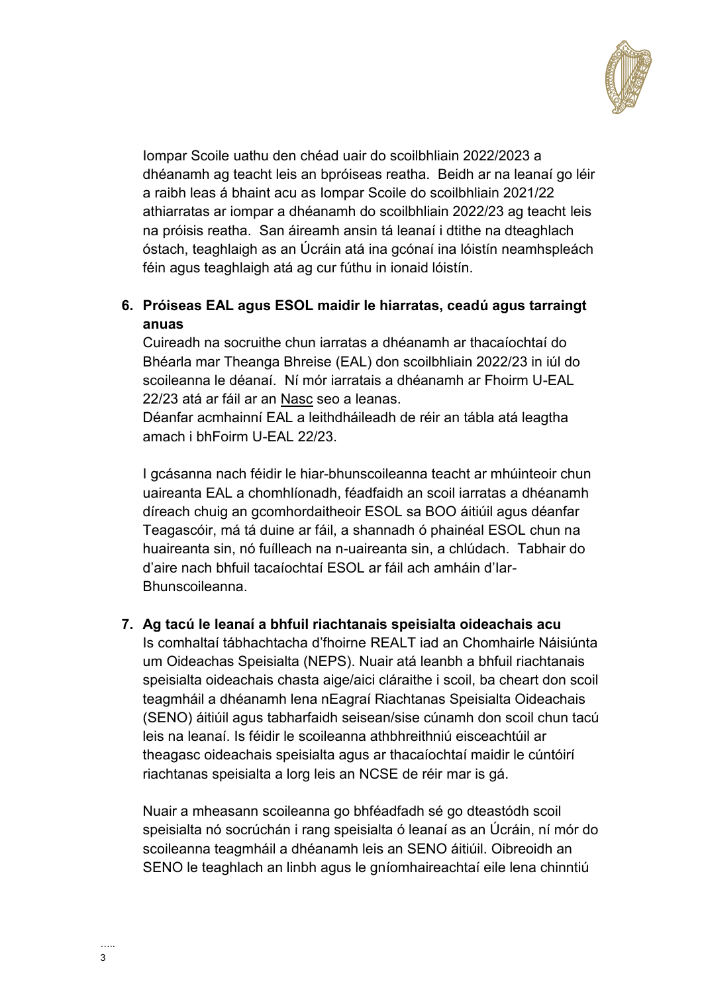

Iompar Scoile uathu den chéad uair do scoilbhliain 2022/2023 a dhéanamh ag teacht leis an bpróiseas reatha. Beidh ar na leanaí go léir a raibh leas á bhaint acu as Iompar Scoile do scoilbhliain 2021/22 athiarratas ar iompar a dhéanamh do scoilbhliain 2022/23 ag teacht leis na próisis reatha. San áireamh ansin tá leanaí i dtithe na dteaghlach óstach, teaghlaigh as an Úcráin atá ina gcónaí ina lóistín neamhspleách féin agus teaghlaigh atá ag cur fúthu in ionaid lóistín.

## **6. Próiseas EAL agus ESOL maidir le hiarratas, ceadú agus tarraingt anuas**

Cuireadh na socruithe chun iarratas a dhéanamh ar thacaíochtaí do Bhéarla mar Theanga Bhreise (EAL) don scoilbhliain 2022/23 in iúl do scoileanna le déanaí. Ní mór iarratais a dhéanamh ar Fhoirm U-EAL 22/23 atá ar fáil ar an [Nasc](https://www.gov.ie/ga/bailiuchan/213e7-socruithe-solathar-foirne-ag-iar-bhunscoile-leibheal-foirmeacha-abhartha/) seo a leanas.

Déanfar acmhainní EAL a leithdháileadh de réir an tábla atá leagtha amach i bhFoirm U-EAL 22/23.

I gcásanna nach féidir le hiar-bhunscoileanna teacht ar mhúinteoir chun uaireanta EAL a chomhlíonadh, féadfaidh an scoil iarratas a dhéanamh díreach chuig an gcomhordaitheoir ESOL sa BOO áitiúil agus déanfar Teagascóir, má tá duine ar fáil, a shannadh ó phainéal ESOL chun na huaireanta sin, nó fuílleach na n-uaireanta sin, a chlúdach. Tabhair do d'aire nach bhfuil tacaíochtaí ESOL ar fáil ach amháin d'Iar-Bhunscoileanna.

## **7. Ag tacú le leanaí a bhfuil riachtanais speisialta oideachais acu**

Is comhaltaí tábhachtacha d'fhoirne REALT iad an Chomhairle Náisiúnta um Oideachas Speisialta (NEPS). Nuair atá leanbh a bhfuil riachtanais speisialta oideachais chasta aige/aici cláraithe i scoil, ba cheart don scoil teagmháil a dhéanamh lena nEagraí Riachtanas Speisialta Oideachais (SENO) áitiúil agus tabharfaidh seisean/sise cúnamh don scoil chun tacú leis na leanaí. Is féidir le scoileanna athbhreithniú eisceachtúil ar theagasc oideachais speisialta agus ar thacaíochtaí maidir le cúntóirí riachtanas speisialta a lorg leis an NCSE de réir mar is gá.

Nuair a mheasann scoileanna go bhféadfadh sé go dteastódh scoil speisialta nó socrúchán i rang speisialta ó leanaí as an Úcráin, ní mór do scoileanna teagmháil a dhéanamh leis an SENO áitiúil. Oibreoidh an SENO le teaghlach an linbh agus le gníomhaireachtaí eile lena chinntiú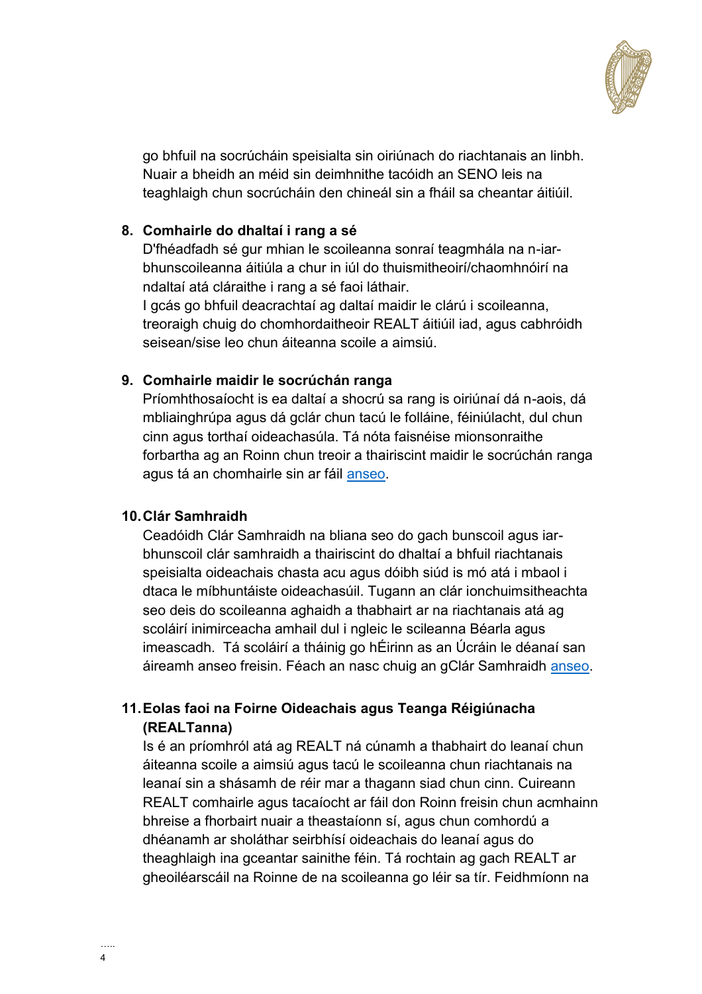

go bhfuil na socrúcháin speisialta sin oiriúnach do riachtanais an linbh. Nuair a bheidh an méid sin deimhnithe tacóidh an SENO leis na teaghlaigh chun socrúcháin den chineál sin a fháil sa cheantar áitiúil.

## **8. Comhairle do dhaltaí i rang a sé**

D'fhéadfadh sé gur mhian le scoileanna sonraí teagmhála na n-iarbhunscoileanna áitiúla a chur in iúl do thuismitheoirí/chaomhnóirí na ndaltaí atá cláraithe i rang a sé faoi láthair.

I gcás go bhfuil deacrachtaí ag daltaí maidir le clárú i scoileanna, treoraigh chuig do chomhordaitheoir REALT áitiúil iad, agus cabhróidh seisean/sise leo chun áiteanna scoile a aimsiú.

## **9. Comhairle maidir le socrúchán ranga**

Príomhthosaíocht is ea daltaí a shocrú sa rang is oiriúnaí dá n-aois, dá mbliainghrúpa agus dá gclár chun tacú le folláine, féiniúlacht, dul chun cinn agus torthaí oideachasúla. Tá nóta faisnéise mionsonraithe forbartha ag an Roinn chun treoir a thairiscint maidir le socrúchán ranga agus tá an chomhairle sin ar fáil [anseo.](https://www.gov.ie/ga/foilsiuchan/litir-chuig-scoileanna-faoi-mhic-leinn-san-ucrai/)

## **10.Clár Samhraidh**

Ceadóidh Clár Samhraidh na bliana seo do gach bunscoil agus iarbhunscoil clár samhraidh a thairiscint do dhaltaí a bhfuil riachtanais speisialta oideachais chasta acu agus dóibh siúd is mó atá i mbaol i dtaca le míbhuntáiste oideachasúil. Tugann an clár ionchuimsitheachta seo deis do scoileanna aghaidh a thabhairt ar na riachtanais atá ag scoláirí inimirceacha amhail dul i ngleic le scileanna Béarla agus imeascadh. Tá scoláirí a tháinig go hÉirinn as an Úcráin le déanaí san áireamh anseo freisin. Féach an nasc chuig an gClár Samhraidh [anseo.](https://www.gov.ie/ga/foilsiuchan/clar-samhraidh/)

# **11.Eolas faoi na Foirne Oideachais agus Teanga Réigiúnacha (REALTanna)**

Is é an príomhról atá ag REALT ná cúnamh a thabhairt do leanaí chun áiteanna scoile a aimsiú agus tacú le scoileanna chun riachtanais na leanaí sin a shásamh de réir mar a thagann siad chun cinn. Cuireann REALT comhairle agus tacaíocht ar fáil don Roinn freisin chun acmhainn bhreise a fhorbairt nuair a theastaíonn sí, agus chun comhordú a dhéanamh ar sholáthar seirbhísí oideachais do leanaí agus do theaghlaigh ina gceantar sainithe féin. Tá rochtain ag gach REALT ar gheoiléarscáil na Roinne de na scoileanna go léir sa tír. Feidhmíonn na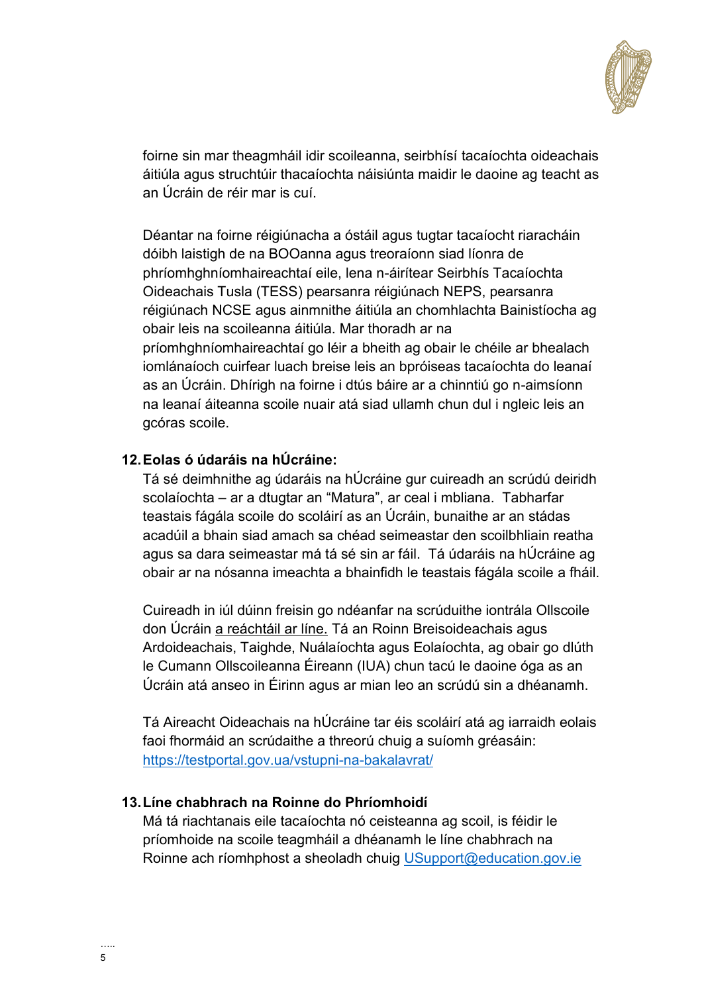

foirne sin mar theagmháil idir scoileanna, seirbhísí tacaíochta oideachais áitiúla agus struchtúir thacaíochta náisiúnta maidir le daoine ag teacht as an Úcráin de réir mar is cuí.

Déantar na foirne réigiúnacha a óstáil agus tugtar tacaíocht riaracháin dóibh laistigh de na BOOanna agus treoraíonn siad líonra de phríomhghníomhaireachtaí eile, lena n-áirítear Seirbhís Tacaíochta Oideachais Tusla (TESS) pearsanra réigiúnach NEPS, pearsanra réigiúnach NCSE agus ainmnithe áitiúla an chomhlachta Bainistíocha ag obair leis na scoileanna áitiúla. Mar thoradh ar na príomhghníomhaireachtaí go léir a bheith ag obair le chéile ar bhealach iomlánaíoch cuirfear luach breise leis an bpróiseas tacaíochta do leanaí as an Úcráin. Dhírigh na foirne i dtús báire ar a chinntiú go n-aimsíonn na leanaí áiteanna scoile nuair atá siad ullamh chun dul i ngleic leis an gcóras scoile.

## **12.Eolas ó údaráis na hÚcráine:**

Tá sé deimhnithe ag údaráis na hÚcráine gur cuireadh an scrúdú deiridh scolaíochta – ar a dtugtar an "Matura", ar ceal i mbliana. Tabharfar teastais fágála scoile do scoláirí as an Úcráin, bunaithe ar an stádas acadúil a bhain siad amach sa chéad seimeastar den scoilbhliain reatha agus sa dara seimeastar má tá sé sin ar fáil. Tá údaráis na hÚcráine ag obair ar na nósanna imeachta a bhainfidh le teastais fágála scoile a fháil.

Cuireadh in iúl dúinn freisin go ndéanfar na scrúduithe iontrála Ollscoile don Úcráin a reáchtáil ar líne. Tá an Roinn Breisoideachais agus Ardoideachais, Taighde, Nuálaíochta agus Eolaíochta, ag obair go dlúth le Cumann Ollscoileanna Éireann (IUA) chun tacú le daoine óga as an Úcráin atá anseo in Éirinn agus ar mian leo an scrúdú sin a dhéanamh.

Tá Aireacht Oideachais na hÚcráine tar éis scoláirí atá ag iarraidh eolais faoi fhormáid an scrúdaithe a threorú chuig a suíomh gréasáin: <https://testportal.gov.ua/vstupni-na-bakalavrat/>

#### **13.Líne chabhrach na Roinne do Phríomhoidí**

Má tá riachtanais eile tacaíochta nó ceisteanna ag scoil, is féidir le príomhoide na scoile teagmháil a dhéanamh le líne chabhrach na Roinne ach ríomhphost a sheoladh chuig [USupport@education.gov.ie](mailto:USupport@education.gov.ie)